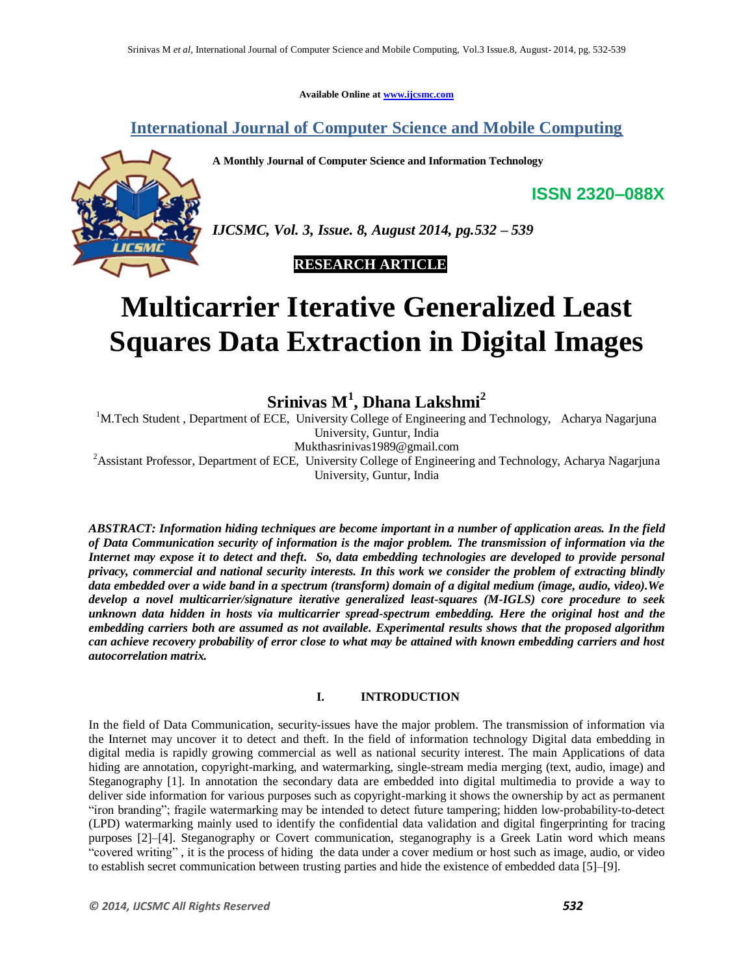**Available Online at www.ijcsmc.com**

**International Journal of Computer Science and Mobile Computing**

**A Monthly Journal of Computer Science and Information Technology**



*IJCSMC, Vol. 3, Issue. 8, August 2014, pg.532 – 539*

# **RESEARCH ARTICLE**

# **Multicarrier Iterative Generalized Least Squares Data Extraction in Digital Images**

**Srinivas M<sup>1</sup> , Dhana Lakshmi<sup>2</sup>**

<sup>1</sup>M.Tech Student, Department of ECE, University College of Engineering and Technology, Acharya Nagarjuna University, Guntur, India Mukthasrinivas1989@gmail.com

<sup>2</sup> Assistant Professor, Department of ECE, University College of Engineering and Technology, Acharya Nagarjuna University, Guntur, India

*ABSTRACT: Information hiding techniques are become important in a number of application areas. In the field of Data Communication security of information is the major problem. The transmission of information via the Internet may expose it to detect and theft. So, data embedding technologies are developed to provide personal privacy, commercial and national security interests. In this work we consider the problem of extracting blindly data embedded over a wide band in a spectrum (transform) domain of a digital medium (image, audio, video).We develop a novel multicarrier/signature iterative generalized least-squares (M-IGLS) core procedure to seek unknown data hidden in hosts via multicarrier spread-spectrum embedding. Here the original host and the embedding carriers both are assumed as not available. Experimental results shows that the proposed algorithm can achieve recovery probability of error close to what may be attained with known embedding carriers and host autocorrelation matrix.*

### **I. INTRODUCTION**

In the field of Data Communication, security-issues have the major problem. The transmission of information via the Internet may uncover it to detect and theft. In the field of information technology Digital data embedding in digital media is rapidly growing commercial as well as national security interest. The main Applications of data hiding are annotation, copyright-marking, and watermarking, single-stream media merging (text, audio, image) and Steganography [1]. In annotation the secondary data are embedded into digital multimedia to provide a way to deliver side information for various purposes such as copyright-marking it shows the ownership by act as permanent ―iron branding‖; fragile watermarking may be intended to detect future tampering; hidden low-probability-to-detect (LPD) watermarking mainly used to identify the confidential data validation and digital fingerprinting for tracing purposes [2]–[4]. Steganography or Covert communication, steganography is a Greek Latin word which means ―covered writing‖ , it is the process of hiding the data under a cover medium or host such as image, audio, or video to establish secret communication between trusting parties and hide the existence of embedded data [5]–[9].

**ISSN 2320–088X**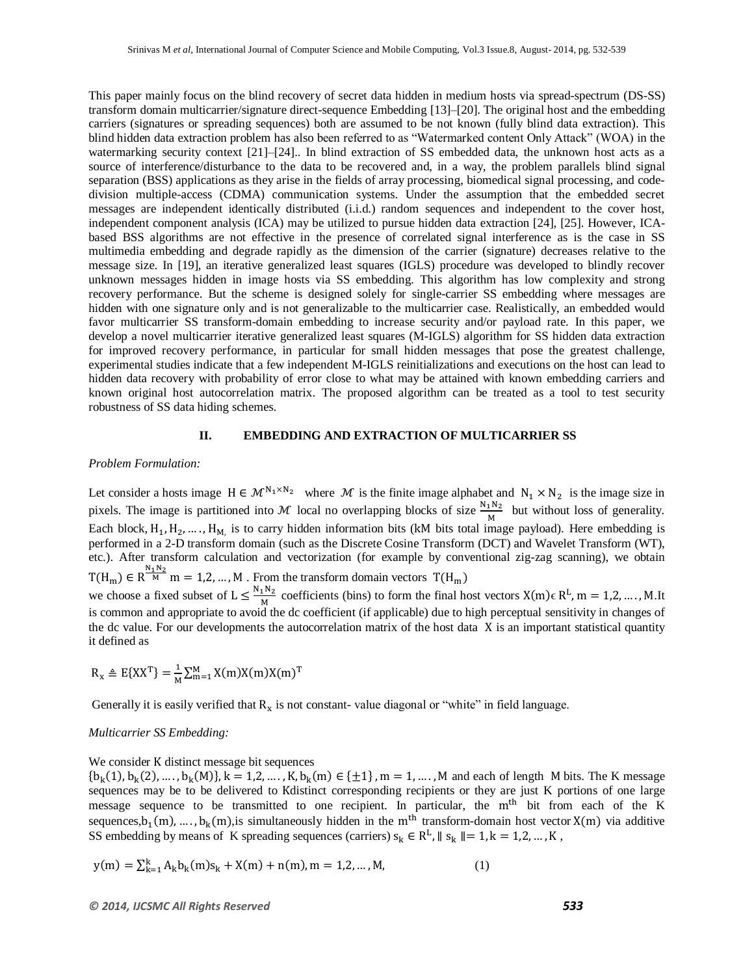This paper mainly focus on the blind recovery of secret data hidden in medium hosts via spread-spectrum (DS-SS) transform domain multicarrier/signature direct-sequence Embedding [13]–[20]. The original host and the embedding carriers (signatures or spreading sequences) both are assumed to be not known (fully blind data extraction). This blind hidden data extraction problem has also been referred to as "Watermarked content Only Attack" (WOA) in the watermarking security context [21]–[24].. In blind extraction of SS embedded data, the unknown host acts as a source of interference/disturbance to the data to be recovered and, in a way, the problem parallels blind signal separation (BSS) applications as they arise in the fields of array processing, biomedical signal processing, and codedivision multiple-access (CDMA) communication systems. Under the assumption that the embedded secret messages are independent identically distributed (i.i.d.) random sequences and independent to the cover host, independent component analysis (ICA) may be utilized to pursue hidden data extraction [24], [25]. However, ICAbased BSS algorithms are not effective in the presence of correlated signal interference as is the case in SS multimedia embedding and degrade rapidly as the dimension of the carrier (signature) decreases relative to the message size. In [19], an iterative generalized least squares (IGLS) procedure was developed to blindly recover unknown messages hidden in image hosts via SS embedding. This algorithm has low complexity and strong recovery performance. But the scheme is designed solely for single-carrier SS embedding where messages are hidden with one signature only and is not generalizable to the multicarrier case. Realistically, an embedded would favor multicarrier SS transform-domain embedding to increase security and/or payload rate. In this paper, we develop a novel multicarrier iterative generalized least squares (M-IGLS) algorithm for SS hidden data extraction for improved recovery performance, in particular for small hidden messages that pose the greatest challenge, experimental studies indicate that a few independent M-IGLS reinitializations and executions on the host can lead to hidden data recovery with probability of error close to what may be attained with known embedding carriers and known original host autocorrelation matrix. The proposed algorithm can be treated as a tool to test security robustness of SS data hiding schemes.

#### **II. EMBEDDING AND EXTRACTION OF MULTICARRIER SS**

#### *Problem Formulation:*

Let consider a hosts image  $H \in \mathcal{M}^{N_1 \times N_2}$  where M is the finite image alphabet and  $N_1 \times N_2$  is the image size in pixels. The image is partitioned into M local no overlapping blocks of size  $\frac{N_1N_2}{M}$  but without loss of generality. Each block,  $H_1, H_2, \ldots, H_M$  is to carry hidden information bits (kM bits total image payload). Here embedding is performed in a 2-D transform domain (such as the Discrete Cosine Transform (DCT) and Wavelet Transform (WT), etc.). After transform calculation and vectorization (for example by conventional zig-zag scanning), we obtain  $T(H_m) \in R^{\frac{N_1 N_2}{M}}$  m = 1,2, ..., M . From the transform domain vectors we choose a fixed subset of  $L \leq \frac{N}{L}$  $\frac{N^{1}}{M}$  coefficients (bins) to form the final host vectors  $X(m)\in R^{L}$ ,  $m = 1, 2, ..., M$ . It is common and appropriate to avoid the dc coefficient (if applicable) due to high perceptual sensitivity in changes of the dc value. For our developments the autocorrelation matrix of the host data X is an important statistical quantity it defined as

$$
R_{\mathbf{x}} \triangleq E\{XX^T\} = \frac{1}{M} \sum_{m=1}^{M} X(m)X(m)X(m)^T
$$

Generally it is easily verified that  $R_x$  is not constant-value diagonal or "white" in field language.

#### *Multicarrier SS Embedding:*

We consider K distinct message bit sequences

 ${b_k(1), b_k(2), ..., b_k(M)}$ ,  $k = 1, 2, ..., K$ ,  ${b_k(m) \in \{\pm 1\}, m = 1, ..., M}$  and each of length M bits. The K message sequences may be to be delivered to Kdistinct corresponding recipients or they are just K portions of one large message sequence to be transmitted to one recipient. In particular, the m<sup>th</sup> bit from each of the K sequences,  $b_1(m),..., b_k(m)$ , is simultaneously hidden in the m<sup>th</sup> transform-domain host vector  $X(m)$  via additive SS embedding by means of K spreading sequences (carriers)  $s_k \in R^L$ ,  $|| s_k || = 1, k = 1, 2, ..., K$ ,

$$
y(m) = \sum_{k=1}^{k} A_k b_k(m) s_k + X(m) + n(m), m = 1, 2, ..., M,
$$
 (1)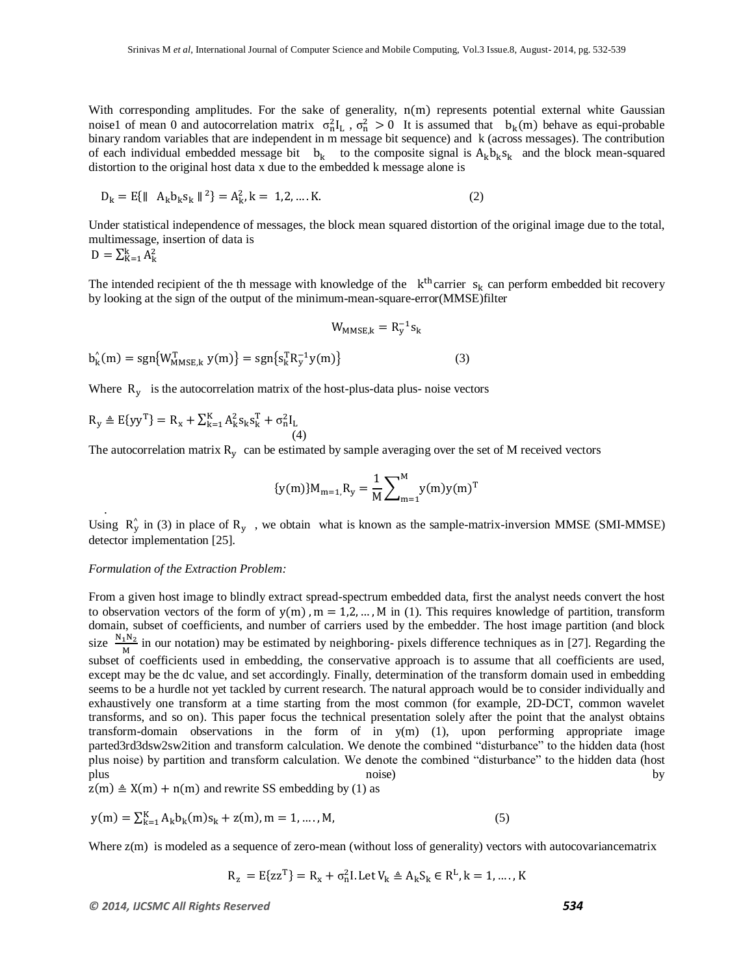With corresponding amplitudes. For the sake of generality,  $n(m)$  represents potential external white Gaussian noise1 of mean 0 and autocorrelation matrix  $\sigma_n^2 I_L$ ,  $\sigma_n^2 > 0$  It is assumed that  $b_k(m)$  behave as equi-probable binary random variables that are independent in m message bit sequence) and k (across messages). The contribution of each individual embedded message bit  $b_k$  to the composite signal is  $A_k b_k s_k$  and the block mean-squared distortion to the original host data x due to the embedded k message alone is

$$
D_k = E\{\|A_k b_k s_k\|^2\} = A_k^2, k = 1, 2, \dots, K.
$$
 (2)

Under statistical independence of messages, the block mean squared distortion of the original image due to the total, multimessage, insertion of data is

$$
D = \sum_{K=1}^k A_k^2
$$

.

The intended recipient of the th message with knowledge of the  $k<sup>th</sup>$ carrier  $s_k$  can perform embedded bit recovery by looking at the sign of the output of the minimum-mean-square-error(MMSE)filter

$$
W_{MMSE,k} = R_y^{-1} s_k
$$
  

$$
b_k^{(m)} = sgn{W_{MMSE,k}^{T} y(m)} = sgn{s_k^{T} R_y^{-1} y(m)}
$$
 (3)

Where  $R_v$  is the autocorrelation matrix of the host-plus-data plus-noise vectors

$$
R_{y} \triangleq E\{yy^{T}\} = R_{x} + \sum_{k=1}^{K} A_{k}^{2} s_{k} s_{k}^{T} + \sigma_{n}^{2} I_{L}
$$
\n(4)

The autocorrelation matrix  $R<sub>v</sub>$  can be estimated by sample averaging over the set of M received vectors

$$
\{y(m)\}M_{m=1,}R_{y} = \frac{1}{M}\sum_{m=1}^{M}y(m)y(m)^{T}
$$

Using  $R_v^{\wedge}$  in (3) in place of  $R_v$ , we obtain what is known as the sample-matrix-inversion MMSE (SMI-MMSE) detector implementation [25].

#### *Formulation of the Extraction Problem:*

From a given host image to blindly extract spread-spectrum embedded data, first the analyst needs convert the host to observation vectors of the form of  $y(m)$ ,  $m = 1, 2, \dots, M$  in (1). This requires knowledge of partition, transform domain, subset of coefficients, and number of carriers used by the embedder. The host image partition (and block size  $\frac{N}{2}$  $\frac{1^{14}2}{M}$  in our notation) may be estimated by neighboring- pixels difference techniques as in [27]. Regarding the subset of coefficients used in embedding, the conservative approach is to assume that all coefficients are used, except may be the dc value, and set accordingly. Finally, determination of the transform domain used in embedding seems to be a hurdle not yet tackled by current research. The natural approach would be to consider individually and exhaustively one transform at a time starting from the most common (for example, 2D-DCT, common wavelet transforms, and so on). This paper focus the technical presentation solely after the point that the analyst obtains transform-domain observations in the form of in y(m) (1), upon performing appropriate image parted3rd3dsw2sw2ition and transform calculation. We denote the combined "disturbance" to the hidden data (host plus noise) by partition and transform calculation. We denote the combined "disturbance" to the hidden data (host plus hoise) by the contract of the contract of the contract of the contract of the contract of the contract of the contract of the contract of the contract of the contract of the contract of the contract of the contract of

 $z(m) \triangleq X(m) + n(m)$  and rewrite SS embedding by (1) as

$$
y(m) = \sum_{k=1}^{K} A_k b_k(m) s_k + z(m), m = 1, ..., M,
$$
 (5)

Where  $z(m)$  is modeled as a sequence of zero-mean (without loss of generality) vectors with autocovariancematrix

$$
R_{z} = E\{zz^{T}\} = R_{x} + \sigma_{n}^{2}I. \text{ Let } V_{k} \triangleq A_{k}S_{k} \in R^{L}, k = 1, \dots, K
$$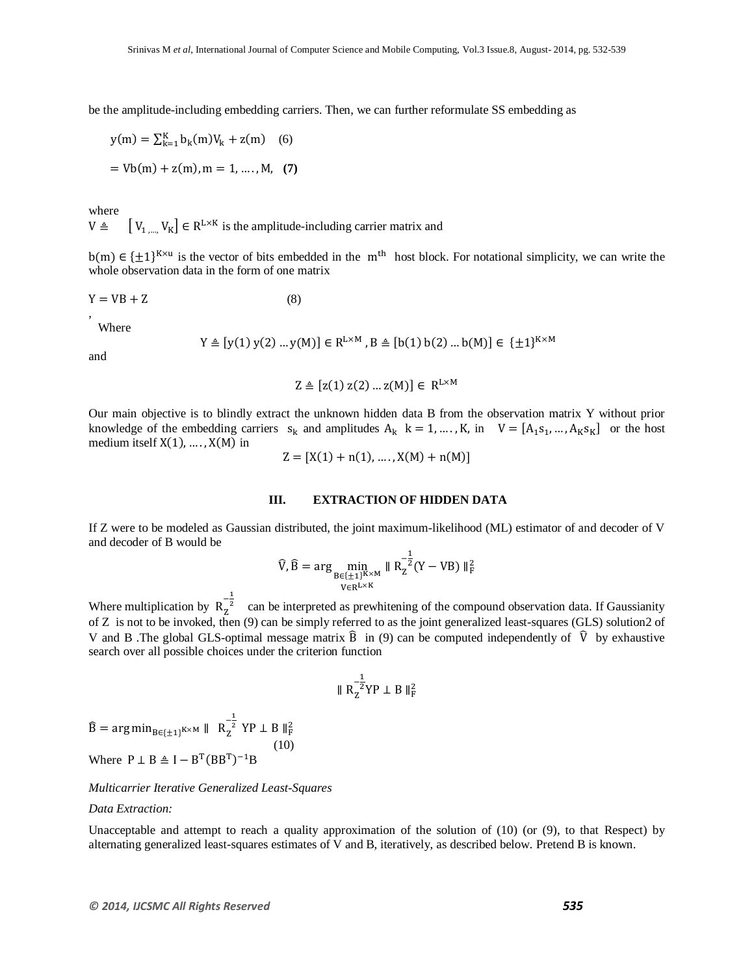be the amplitude-including embedding carriers. Then, we can further reformulate SS embedding as

$$
y(m) = \sum_{k=1}^{K} b_k(m)V_k + z(m) \quad (6)
$$
  
=  $Vb(m) + z(m), m = 1, ..., M, (7)$ 

where

 $V \triangleq \left[V_{1} \dots V_{K}\right] \in \mathbb{R}^{L \times K}$  is the amplitude-including carrier matrix and

 $b(m) \in {\pm 1}^{K \times u}$  is the vector of bits embedded in the m<sup>th</sup> host block. For notational simplicity, we can write the whole observation data in the form of one matrix

$$
Y = VB + Z \tag{8}
$$

Where

$$
Y \triangleq [y(1) y(2) ... y(M)] \in R^{L \times M}, B \triangleq [b(1) b(2) ... b(M)] \in \{\pm 1\}^{K \times M}
$$

and

,

$$
Z \triangleq [z(1) z(2) \dots z(M)] \in R^{L \times M}
$$

Our main objective is to blindly extract the unknown hidden data B from the observation matrix Y without prior knowledge of the embedding carriers  $s_k$  and amplitudes  $A_k$   $k = 1, ..., K$ , in  $V = [A_1 s_1, ..., A_K s_K]$  or the host medium itself  $X(1), \ldots, X(M)$  in

$$
Z = [X(1) + n(1), \dots, X(M) + n(M)]
$$

#### **III. EXTRACTION OF HIDDEN DATA**

If Z were to be modeled as Gaussian distributed, the joint maximum-likelihood (ML) estimator of and decoder of V and decoder of B would be

$$
\widehat{V}, \widehat{B} = \arg\min_{\substack{B \in \{\pm 1\}^{K \times M} \\ V \in R^{L \times K}}} \| R_Z^{-\tfrac{1}{2}} (Y - VB) \|_F^2
$$

Where multiplication by  $R_{7}^{-\frac{1}{2}}$  can be interpreted as prewhitening of the compound observation data. If Gaussianity of Z is not to be invoked, then (9) can be simply referred to as the joint generalized least-squares (GLS) solution2 of V and B .The global GLS-optimal message matrix  $\hat{B}$  in (9) can be computed independently of  $\hat{V}$  by exhaustive search over all possible choices under the criterion function

$$
\parallel R_Z^{-\tfrac{1}{2}} Y P \perp B \parallel_F^2
$$

 $\widehat{B} = \arg \min_{B \in \{\pm 1\}^{K \times M}} \| R_{Z}^{-\frac{1}{2}} YP \perp B \|_{F}^{2}$  (10) Where  $P \perp B \triangleq I - B^{T} (BB^{T})^{-1}B$ 

#### *Multicarrier Iterative Generalized Least-Squares*

#### *Data Extraction:*

Unacceptable and attempt to reach a quality approximation of the solution of (10) (or (9), to that Respect) by alternating generalized least-squares estimates of V and B, iteratively, as described below. Pretend B is known.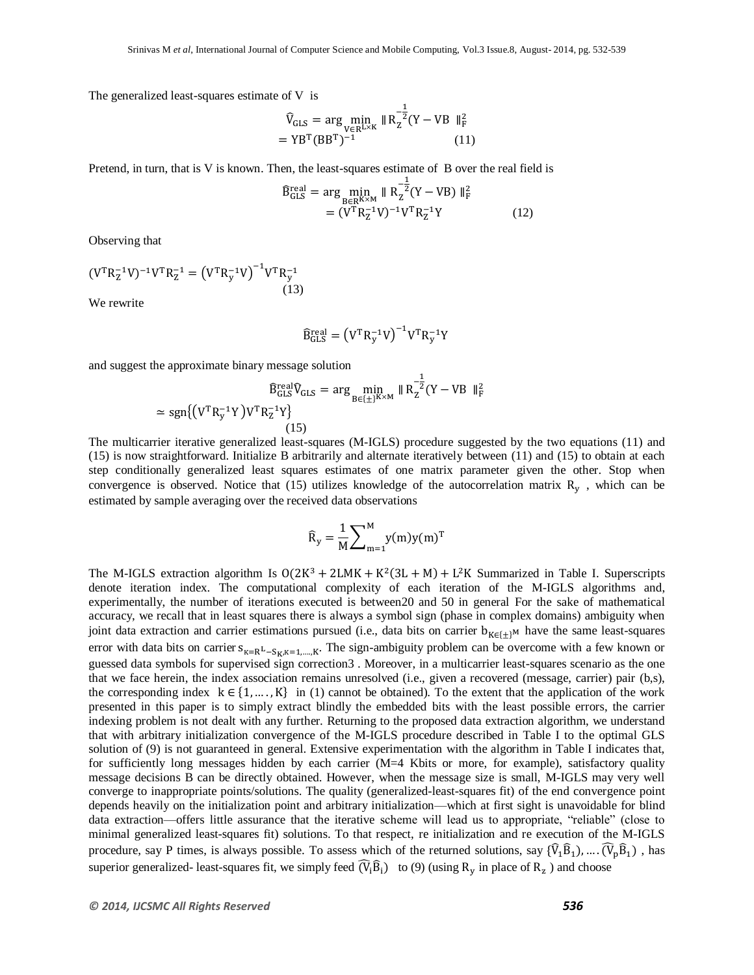The generalized least-squares estimate of V is

$$
\widehat{V}_{GLS} = \arg\min_{V \in R^{L \times K}} \| R_Z^{-\frac{1}{2}} (Y - VB \|_{F}^2)
$$
  
= YB<sup>T</sup> (BB<sup>T</sup>)<sup>-1</sup> (11)

Pretend, in turn, that is V is known. Then, the least-squares estimate of B over the real field is

$$
\widehat{B}_{\text{GLS}}^{\text{real}} = \arg \min_{B \in \mathbb{R}^{K \times M}} \| R_Z^{-\frac{1}{2}} (Y - VB) \|_F^2
$$
  
=  $(V^{\text{T}} R_Z^{-1} V)^{-1} V^{\text{T}} R_Z^{-1} Y$  (12)

Observing that

$$
(\mathbf{V}^{\mathrm{T}} \mathbf{R}_{\mathrm{Z}}^{-1} \mathbf{V})^{-1} \mathbf{V}^{\mathrm{T}} \mathbf{R}_{\mathrm{Z}}^{-1} = (\mathbf{V}^{\mathrm{T}} \mathbf{R}_{\mathrm{y}}^{-1} \mathbf{V})^{-1} \mathbf{V}^{\mathrm{T}} \mathbf{R}_{\mathrm{y}}^{-1}
$$
(13)

We rewrite

$$
\widehat{\mathbf{B}}_{\text{GLS}}^{\text{real}} = (\mathbf{V}^{\text{T}} \mathbf{R}_{\text{y}}^{-1} \mathbf{V})^{-1} \mathbf{V}^{\text{T}} \mathbf{R}_{\text{y}}^{-1} \mathbf{Y}
$$

and suggest the approximate binary message solution

$$
\widehat{B}_{GLS}^{\text{real}} \widehat{V}_{GLS} = \arg \min_{B \in \{\pm\}^{K \times M}} \| R_{Z}^{-\frac{1}{2}} (Y - VB \|_{F}^{2} \approx \text{sgn}\{ \left( V^{T} R_{y}^{-1} Y \right) V^{T} R_{Z}^{-1} Y \}
$$
\n(15)

The multicarrier iterative generalized least-squares (M-IGLS) procedure suggested by the two equations (11) and (15) is now straightforward. Initialize B arbitrarily and alternate iteratively between (11) and (15) to obtain at each step conditionally generalized least squares estimates of one matrix parameter given the other. Stop when convergence is observed. Notice that (15) utilizes knowledge of the autocorrelation matrix  $R_v$ , which can be estimated by sample averaging over the received data observations

$$
\widehat{\mathbf{R}}_{\mathbf{y}} = \frac{1}{\mathbf{M}} \sum_{m=1}^{\mathbf{M}} \mathbf{y}(m) \mathbf{y}(m)^{\mathrm{T}}
$$

The M-IGLS extraction algorithm Is  $O(2K^3 + 2LMK + K^2(3L + M) + L^2K$  Summarized in Table I. Superscripts denote iteration index. The computational complexity of each iteration of the M-IGLS algorithms and, experimentally, the number of iterations executed is between20 and 50 in general For the sake of mathematical accuracy, we recall that in least squares there is always a symbol sign (phase in complex domains) ambiguity when joint data extraction and carrier estimations pursued (i.e., data bits on carrier  ${\bf b}_{K \in \{\pm\}^M}$  have the same least-squares error with data bits on carrier  $s_{k=R}L_{-S_{k}K=1}$   $\kappa$ . The sign-ambiguity problem can be overcome with a few known or guessed data symbols for supervised sign correction3 . Moreover, in a multicarrier least-squares scenario as the one that we face herein, the index association remains unresolved (i.e., given a recovered (message, carrier) pair (b,s), the corresponding index  $k \in \{1, \ldots, K\}$  in (1) cannot be obtained). To the extent that the application of the work presented in this paper is to simply extract blindly the embedded bits with the least possible errors, the carrier indexing problem is not dealt with any further. Returning to the proposed data extraction algorithm, we understand that with arbitrary initialization convergence of the M-IGLS procedure described in Table I to the optimal GLS solution of (9) is not guaranteed in general. Extensive experimentation with the algorithm in Table I indicates that, for sufficiently long messages hidden by each carrier (M=4 Kbits or more, for example), satisfactory quality message decisions B can be directly obtained. However, when the message size is small, M-IGLS may very well converge to inappropriate points/solutions. The quality (generalized-least-squares fit) of the end convergence point depends heavily on the initialization point and arbitrary initialization—which at first sight is unavoidable for blind data extraction—offers little assurance that the iterative scheme will lead us to appropriate, "reliable" (close to minimal generalized least-squares fit) solutions. To that respect, re initialization and re execution of the M-IGLS procedure, say P times, is always possible. To assess which of the returned solutions, say  $\{\widehat{V}_1\widehat{B}_1\}$ , ...  $(\widehat{V}_p\widehat{B}_1)$ , has superior generalized- least-squares fit, we simply feed  $(\hat{V}_i \hat{B}_i)$  to (9) (using  $R_y$  in place of  $R_z$ ) and choose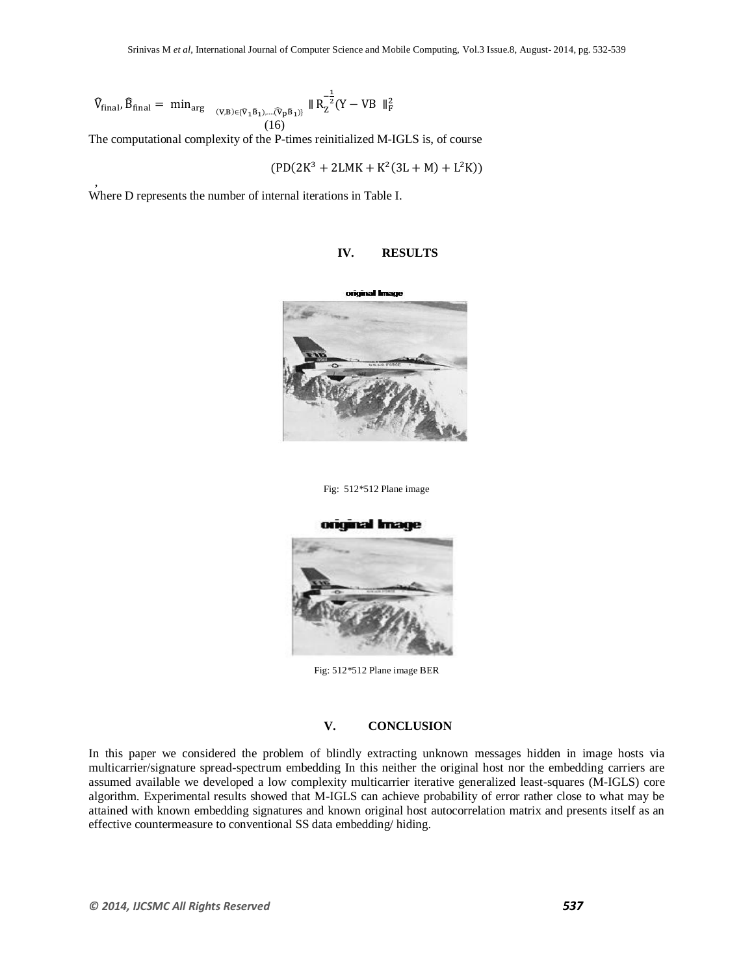$$
\widehat{V}_{final}, \widehat{B}_{final} = min_{arg} \quad \underset{(V,B)\in \{\widehat{V}_1\widehat{B}_1,\ldots, \widehat{V}_p\widehat{B}_1)\}}{\sim} \parallel R_Z^{-\frac{1}{2}}(Y - VB \parallel_F^2) \label{eq:Vfinal}
$$

The computational complexity of the P-times reinitialized M-IGLS is, of course

$$
(PD(2K^3 + 2LMK + K^2(3L + M) + L^2K))
$$

Where D represents the number of internal iterations in Table I.

,



# **IV. RESULTS**

Fig: 512\*512 Plane image



Fig: 512\*512 Plane image BER

## **V. CONCLUSION**

In this paper we considered the problem of blindly extracting unknown messages hidden in image hosts via multicarrier/signature spread-spectrum embedding In this neither the original host nor the embedding carriers are assumed available we developed a low complexity multicarrier iterative generalized least-squares (M-IGLS) core algorithm. Experimental results showed that M-IGLS can achieve probability of error rather close to what may be attained with known embedding signatures and known original host autocorrelation matrix and presents itself as an effective countermeasure to conventional SS data embedding/ hiding.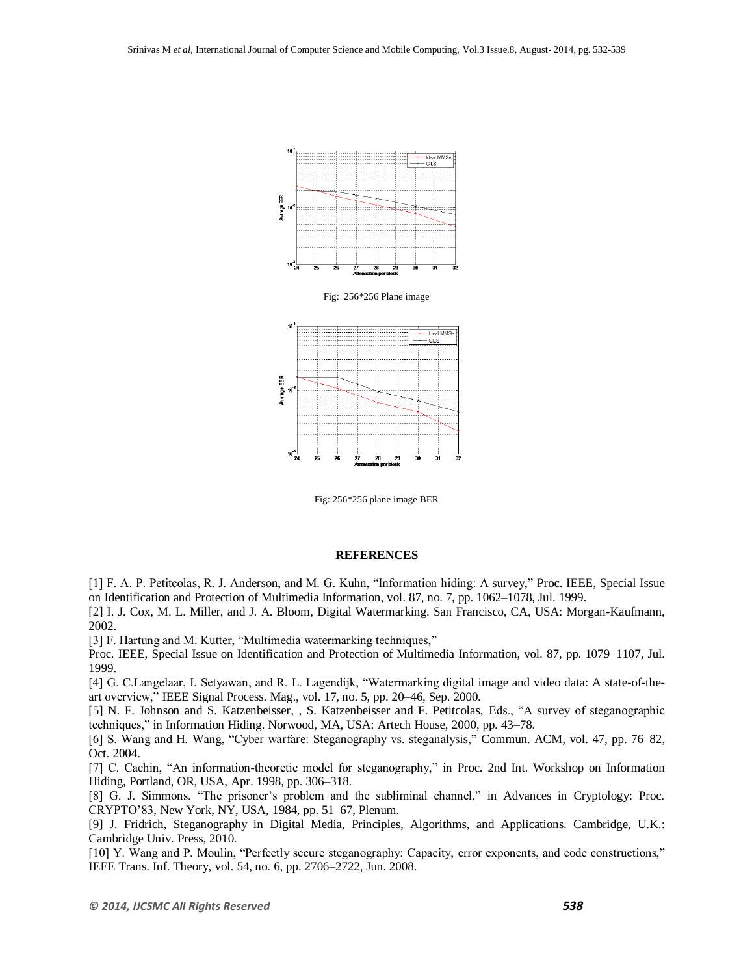

Fig: 256\*256 plane image BER

#### **REFERENCES**

[1] F. A. P. Petitcolas, R. J. Anderson, and M. G. Kuhn, "Information hiding: A survey," Proc. IEEE, Special Issue on Identification and Protection of Multimedia Information, vol. 87, no. 7, pp. 1062–1078, Jul. 1999.

[2] I. J. Cox, M. L. Miller, and J. A. Bloom, Digital Watermarking. San Francisco, CA, USA: Morgan-Kaufmann, 2002.

[3] F. Hartung and M. Kutter, "Multimedia watermarking techniques,"

Proc. IEEE, Special Issue on Identification and Protection of Multimedia Information, vol. 87, pp. 1079–1107, Jul. 1999.

[4] G. C.Langelaar, I. Setyawan, and R. L. Lagendijk, "Watermarking digital image and video data: A state-of-theart overview," IEEE Signal Process. Mag., vol. 17, no. 5, pp. 20-46, Sep. 2000.

[5] N. F. Johnson and S. Katzenbeisser, , S. Katzenbeisser and F. Petitcolas, Eds., "A survey of steganographic techniques," in Information Hiding. Norwood, MA, USA: Artech House, 2000, pp. 43-78.

[6] S. Wang and H. Wang, "Cyber warfare: Steganography vs. steganalysis," Commun. ACM, vol. 47, pp. 76–82, Oct. 2004.

[7] C. Cachin, "An information-theoretic model for steganography," in Proc. 2nd Int. Workshop on Information Hiding, Portland, OR, USA, Apr. 1998, pp. 306–318.

[8] G. J. Simmons, "The prisoner's problem and the subliminal channel," in Advances in Cryptology: Proc. CRYPTO'83, New York, NY, USA, 1984, pp. 51–67, Plenum.

[9] J. Fridrich, Steganography in Digital Media, Principles, Algorithms, and Applications. Cambridge, U.K.: Cambridge Univ. Press, 2010.

[10] Y. Wang and P. Moulin, "Perfectly secure steganography: Capacity, error exponents, and code constructions," IEEE Trans. Inf. Theory, vol. 54, no. 6, pp. 2706–2722, Jun. 2008.